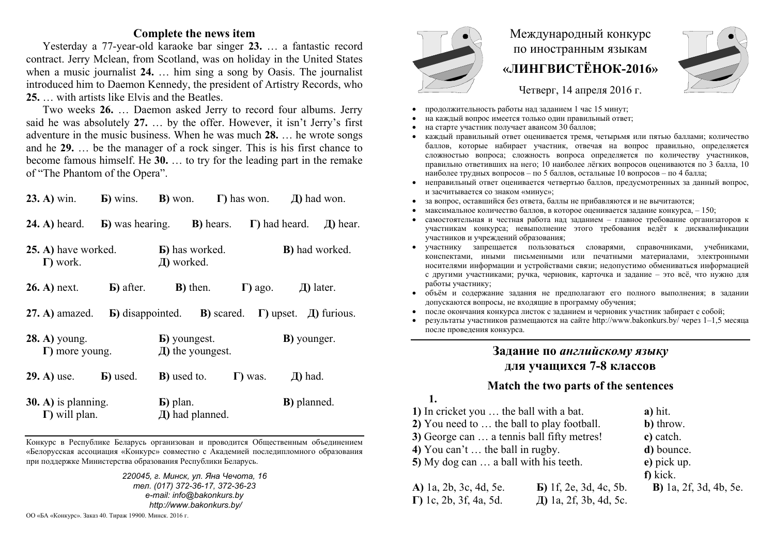### **Complete the news item**

Yesterday a 77-year-old karaoke bar singer **23.**  … a fantastic record contract. Jerry Mclean, from Scotland, was on holiday in the United States when a music journalist **24.** … him sing a song by Oasis. The journalist introduced him to Daemon Kennedy, the president of Artistry Records, who **25.** … with artists like Elvis and the Beatles.

Two weeks **26.** … Daemon asked Jerry to record four albums. Jerry said he was absolutely **27.** … by the offer. However, it isn't Jerry's first adventure in the music business. When he was much **28.** … he wrote songs and he **29.** … be the manager of a rock singer. This is his first chance to become famous himself. He **30.**  … to try for the leading part in the remake of "The Phantom of the Opera".

| $23. A)$ win.                                  | <b>b</b> ) wins. <b>b</b> ) won. $\Gamma$ ) has won. |                                                                                 |                   |                 | $\pi$ ) had won.               |               |
|------------------------------------------------|------------------------------------------------------|---------------------------------------------------------------------------------|-------------------|-----------------|--------------------------------|---------------|
| <b>24. A)</b> heard.                           | <b>G</b> ) was hearing.                              |                                                                                 | <b>B</b> ) hears. |                 | $\Gamma$ ) had heard.          | $\pi$ ) hear. |
| 25. A) have worked.<br>$\Gamma$ ) work.        |                                                      | <b>B</b> ) has worked.<br>Д) worked.                                            |                   |                 | <b>B</b> ) had worked.         |               |
| <b>26. A)</b> next.                            | <b>b</b> ) after.                                    | <b>B</b> ) then.                                                                |                   |                 | $\Gamma$ ) ago. $\Box$ 1 ater. |               |
| $27. A)$ amazed.                               |                                                      | <b>b</b> ) disappointed. <b>b</b> ) scared. $\Gamma$ ) upset. $\Box$ ) furious. |                   |                 |                                |               |
| <b>28. A)</b> young.<br>$\Gamma$ ) more young. |                                                      | <b>b</b> ) youngest.<br>$\pi$ ) the youngest.                                   |                   |                 | <b>B</b> ) younger.            |               |
| <b>29. A)</b> use.                             | <b>B</b> ) used.                                     | <b>B</b> ) used to.                                                             |                   | $\Gamma$ ) was. | $\pi$ ) had.                   |               |
| $30.$ A) is planning.<br>$\Gamma$ ) will plan. |                                                      | <b>B</b> ) plan.<br>$\pi$ ) had planned.                                        |                   |                 | <b>B</b> ) planned.            |               |

Конкурс <sup>в</sup> Республике Беларусь организован <sup>и</sup> проводится Общественным объединением «Белорусская ассоциация «Конкурс» совместно <sup>с</sup> Академией последипломного образования при поддержке Министерства образования Республики Беларусь.

> *220045, <sup>г</sup>. Минск, ул. Яна Чечота, 16 тел. (017) 372-36-17, 372-36-23 e-mail: info@bakonkurs.by http://www.bakonkurs.by/*

ОО «БА «Конкурс». Заказ 40. Тираж 19900. Минск. 2016 <sup>г</sup>.



# Международный конкурс по иностранным языкам **«ЛИНГВИСТЁНОК-2016»**

Четверг, 14 апреля 2016 г.

- . продолжительность работы над заданием 1 час 15 минут;
- ۰ на каждый вопрос имеется только один правильный ответ;
- . на старте участник получает авансом 30 баллов;
- . каждый правильный ответ оценивается тремя, четырьмя или пятью баллами; количество баллов, которые набирает участник, отвечая на вопрос правильно, определяется сложностью вопроса; сложность вопроса определяется по количеству участников, правильно ответивших на него; 10 наиболее лёгких вопросов оцениваются по 3 балла, 10 наиболее трудных вопросов – по 5 баллов, остальные 10 вопросов – по 4 балла;
- . неправильный ответ оценивается четвертью баллов, предусмотренных за данный вопрос, и засчитывается со знаком «минус»;
- ۰ за вопрос, оставшийся без ответа, баллы не прибавляются <sup>и</sup> не вычитаются;
- . • максимальное количество баллов, в которое оценивается задание конкурса,  $-150$ ;
- ۰ самостоятельная и честная работа над заданием – главное требование организаторов <sup>к</sup> участникам конкурса; невыполнение этого требования ведёт <sup>к</sup> дисквалификации участников <sup>и</sup> учреждений образования;
- ۰ участнику запрещается пользоваться словарями, справочниками, учебниками, конспектами, иными письменными или печатными материалами, электронными носителями информации <sup>и</sup> устройствами связи; недопустимо обмениваться информацией с другими участниками; ручка, черновик, карточка <sup>и</sup> задание – это всё, что нужно для работы участнику;
- . объём <sup>и</sup> содержание задания не предполагают его полного выполнения; <sup>в</sup> задании допускаются вопросы, не входящие <sup>в</sup> программу обучения;
- после окончания конкурса листок <sup>с</sup> заданием <sup>и</sup> черновик участник забирает <sup>с</sup> собой;
- ۰ результаты участников размещаются на сайте http://www.bakonkurs.by/ через 1–1,5 месяца после проведения конкурса.

# **Задание по** *английскому языку* **для учащихся 7-8 классов**

## **Match the two parts of the sentences**

**1.** 

| 1) In cricket you  the ball with a bat.    |                                | a) hit.                                       |
|--------------------------------------------|--------------------------------|-----------------------------------------------|
| 2) You need to  the ball to play football. |                                | b) throw.                                     |
| 3) George can  a tennis ball fifty metres! |                                | c) catch.                                     |
| 4) You can't  the ball in rugby.           |                                | d) bounce.                                    |
| 5) My dog can  a ball with his teeth.      |                                | e) pick up.                                   |
|                                            |                                | f) kick.                                      |
| A) 1a, 2b, 3c, 4d, 5e.                     | $\bf{E}$ ) 1f, 2e, 3d, 4c, 5b. | <b>B</b> ) $1a$ , $2f$ , $3d$ , $4b$ , $5e$ . |
| $\Gamma$ ) 1c, 2b, 3f, 4a, 5d.             | Д) 1a, 2f, 3b, 4d, 5c.         |                                               |